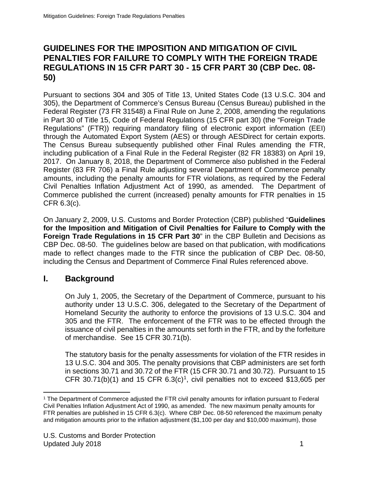### **GUIDELINES FOR THE IMPOSITION AND MITIGATION OF CIVIL PENALTIES FOR FAILURE TO COMPLY WITH THE FOREIGN TRADE REGULATIONS IN 15 CFR PART 30 - 15 CFR PART 30 (CBP Dec. 08- 50)**

Pursuant to sections 304 and 305 of Title 13, United States Code (13 U.S.C. 304 and 305), the Department of Commerce's Census Bureau (Census Bureau) published in the Federal Register (73 FR 31548) a Final Rule on June 2, 2008, amending the regulations in Part 30 of Title 15, Code of Federal Regulations (15 CFR part 30) (the "Foreign Trade Regulations" (FTR)) requiring mandatory filing of electronic export information (EEI) through the Automated Export System (AES) or through AESDirect for certain exports. The Census Bureau subsequently published other Final Rules amending the FTR, including publication of a Final Rule in the Federal Register (82 FR 18383) on April 19, 2017. On January 8, 2018, the Department of Commerce also published in the Federal Register (83 FR 706) a Final Rule adjusting several Department of Commerce penalty amounts, including the penalty amounts for FTR violations, as required by the Federal Civil Penalties Inflation Adjustment Act of 1990, as amended. The Department of Commerce published the current (increased) penalty amounts for FTR penalties in 15 CFR 6.3(c).

On January 2, 2009, U.S. Customs and Border Protection (CBP) published "**Guidelines for the Imposition and Mitigation of Civil Penalties for Failure to Comply with the Foreign Trade Regulations in 15 CFR Part 30**" in the CBP Bulletin and Decisions as CBP Dec. 08-50. The guidelines below are based on that publication, with modifications made to reflect changes made to the FTR since the publication of CBP Dec. 08-50, including the Census and Department of Commerce Final Rules referenced above.

## **I. Background**

On July 1, 2005, the Secretary of the Department of Commerce, pursuant to his authority under 13 U.S.C. 306, delegated to the Secretary of the Department of Homeland Security the authority to enforce the provisions of 13 U.S.C. 304 and 305 and the FTR. The enforcement of the FTR was to be effected through the issuance of civil penalties in the amounts set forth in the FTR, and by the forfeiture of merchandise. See 15 CFR 30.71(b).

The statutory basis for the penalty assessments for violation of the FTR resides in 13 U.S.C. 304 and 305. The penalty provisions that CBP administers are set forth in sections 30.71 and 30.72 of the FTR (15 CFR 30.71 and 30.72). Pursuant to 15 CFR 30.71(b)(1) and 15 CFR  $6.3(c)^1$ , civil penalties not to exceed \$13,605 per

<span id="page-0-0"></span> <sup>1</sup> The Department of Commerce adjusted the FTR civil penalty amounts for inflation pursuant to Federal Civil Penalties Inflation Adjustment Act of 1990, as amended. The new maximum penalty amounts for FTR penalties are published in 15 CFR 6.3(c). Where CBP Dec. 08-50 referenced the maximum penalty and mitigation amounts prior to the inflation adjustment (\$1,100 per day and \$10,000 maximum), those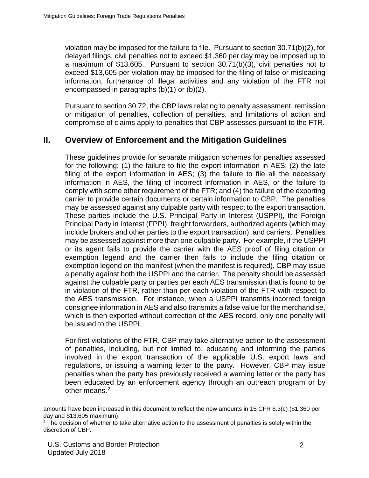violation may be imposed for the failure to file. Pursuant to section 30.71(b)(2), for delayed filings, civil penalties not to exceed \$1,360 per day may be imposed up to a maximum of \$13,605. Pursuant to section 30.71(b)(3), civil penalties not to exceed \$13,605 per violation may be imposed for the filing of false or misleading information, furtherance of illegal activities and any violation of the FTR not encompassed in paragraphs (b)(1) or (b)(2).

Pursuant to section 30.72, the CBP laws relating to penalty assessment, remission or mitigation of penalties, collection of penalties, and limitations of action and compromise of claims apply to penalties that CBP assesses pursuant to the FTR.

#### **II. Overview of Enforcement and the Mitigation Guidelines**

These guidelines provide for separate mitigation schemes for penalties assessed for the following: (1) the failure to file the export information in AES; (2) the late filing of the export information in AES; (3) the failure to file all the necessary information in AES, the filing of incorrect information in AES, or the failure to comply with some other requirement of the FTR; and (4) the failure of the exporting carrier to provide certain documents or certain information to CBP. The penalties may be assessed against any culpable party with respect to the export transaction. These parties include the U.S. Principal Party in Interest (USPPI), the Foreign Principal Party in Interest (FPPI), freight forwarders, authorized agents (which may include brokers and other parties to the export transaction), and carriers. Penalties may be assessed against more than one culpable party. For example, if the USPPI or its agent fails to provide the carrier with the AES proof of filing citation or exemption legend and the carrier then fails to include the filing citation or exemption legend on the manifest (when the manifest is required), CBP may issue a penalty against both the USPPI and the carrier. The penalty should be assessed against the culpable party or parties per each AES transmission that is found to be in violation of the FTR, rather than per each violation of the FTR with respect to the AES transmission. For instance, when a USPPI transmits incorrect foreign consignee information in AES and also transmits a false value for the merchandise, which is then exported without correction of the AES record, only one penalty will be issued to the USPPI.

For first violations of the FTR, CBP may take alternative action to the assessment of penalties, including, but not limited to, educating and informing the parties involved in the export transaction of the applicable U.S. export laws and regulations, or issuing a warning letter to the party. However, CBP may issue penalties when the party has previously received a warning letter or the party has been educated by an enforcement agency through an outreach program or by other means.<sup>[2](#page-1-0)</sup>

amounts have been increased in this document to reflect the new amounts in 15 CFR 6.3(c) (\$1,360 per day and \$13,605 maximum).

<span id="page-1-0"></span><sup>&</sup>lt;sup>2</sup> The decision of whether to take alternative action to the assessment of penalties is solely within the discretion of CBP.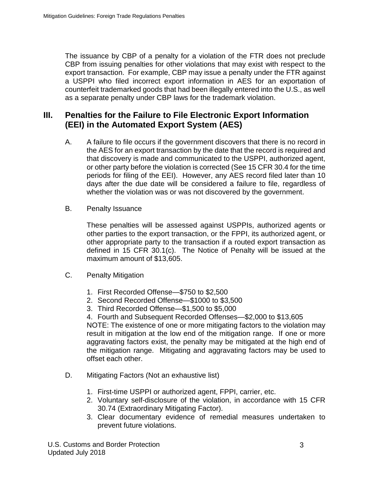The issuance by CBP of a penalty for a violation of the FTR does not preclude CBP from issuing penalties for other violations that may exist with respect to the export transaction. For example, CBP may issue a penalty under the FTR against a USPPI who filed incorrect export information in AES for an exportation of counterfeit trademarked goods that had been illegally entered into the U.S., as well as a separate penalty under CBP laws for the trademark violation.

#### **III. Penalties for the Failure to File Electronic Export Information (EEI) in the Automated Export System (AES)**

- A. A failure to file occurs if the government discovers that there is no record in the AES for an export transaction by the date that the record is required and that discovery is made and communicated to the USPPI, authorized agent, or other party before the violation is corrected (See 15 CFR 30.4 for the time periods for filing of the EEI). However, any AES record filed later than 10 days after the due date will be considered a failure to file, regardless of whether the violation was or was not discovered by the government.
- B. Penalty Issuance

These penalties will be assessed against USPPIs, authorized agents or other parties to the export transaction, or the FPPI, its authorized agent, or other appropriate party to the transaction if a routed export transaction as defined in 15 CFR 30.1(c). The Notice of Penalty will be issued at the maximum amount of \$13,605.

- C. Penalty Mitigation
	- 1. First Recorded Offense—\$750 to \$2,500
	- 2. Second Recorded Offense—\$1000 to \$3,500
	- 3. Third Recorded Offense—\$1,500 to \$5,000
	- 4. Fourth and Subsequent Recorded Offenses—\$2,000 to \$13,605

NOTE: The existence of one or more mitigating factors to the violation may result in mitigation at the low end of the mitigation range. If one or more aggravating factors exist, the penalty may be mitigated at the high end of the mitigation range. Mitigating and aggravating factors may be used to offset each other.

- D. Mitigating Factors (Not an exhaustive list)
	- 1. First-time USPPI or authorized agent, FPPI, carrier, etc.
	- 2. Voluntary self-disclosure of the violation, in accordance with 15 CFR 30.74 (Extraordinary Mitigating Factor).
	- 3. Clear documentary evidence of remedial measures undertaken to prevent future violations.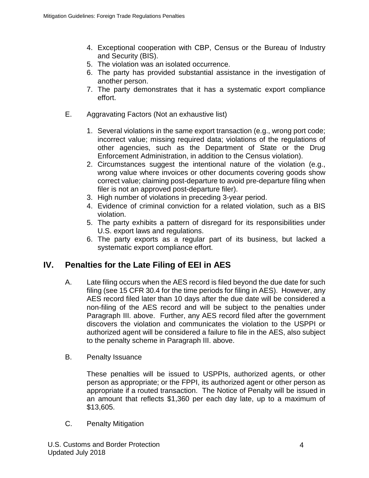- 4. Exceptional cooperation with CBP, Census or the Bureau of Industry and Security (BIS).
- 5. The violation was an isolated occurrence.
- 6. The party has provided substantial assistance in the investigation of another person.
- 7. The party demonstrates that it has a systematic export compliance effort.
- E. Aggravating Factors (Not an exhaustive list)
	- 1. Several violations in the same export transaction (e.g., wrong port code; incorrect value; missing required data; violations of the regulations of other agencies, such as the Department of State or the Drug Enforcement Administration, in addition to the Census violation).
	- 2. Circumstances suggest the intentional nature of the violation (e.g., wrong value where invoices or other documents covering goods show correct value; claiming post-departure to avoid pre-departure filing when filer is not an approved post-departure filer).
	- 3. High number of violations in preceding 3-year period.
	- 4. Evidence of criminal conviction for a related violation, such as a BIS violation.
	- 5. The party exhibits a pattern of disregard for its responsibilities under U.S. export laws and regulations.
	- 6. The party exports as a regular part of its business, but lacked a systematic export compliance effort.

# **IV. Penalties for the Late Filing of EEI in AES**

- A. Late filing occurs when the AES record is filed beyond the due date for such filing (see 15 CFR 30.4 for the time periods for filing in AES). However, any AES record filed later than 10 days after the due date will be considered a non-filing of the AES record and will be subject to the penalties under Paragraph III. above. Further, any AES record filed after the government discovers the violation and communicates the violation to the USPPI or authorized agent will be considered a failure to file in the AES, also subject to the penalty scheme in Paragraph III. above.
- B. Penalty Issuance

These penalties will be issued to USPPIs, authorized agents, or other person as appropriate; or the FPPI, its authorized agent or other person as appropriate if a routed transaction. The Notice of Penalty will be issued in an amount that reflects \$1,360 per each day late, up to a maximum of \$13,605.

C. Penalty Mitigation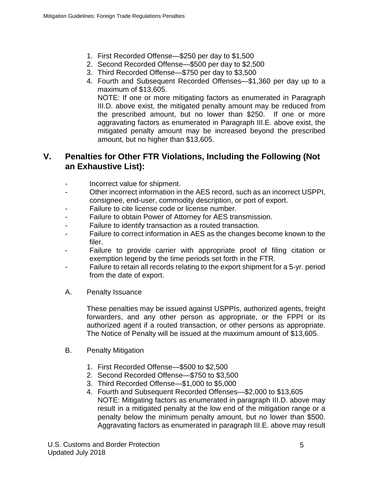- 1. First Recorded Offense—\$250 per day to \$1,500
- 2. Second Recorded Offense—\$500 per day to \$2,500
- 3. Third Recorded Offense—\$750 per day to \$3,500
- 4. Fourth and Subsequent Recorded Offenses—\$1,360 per day up to a maximum of \$13,605. NOTE: If one or more mitigating factors as enumerated in Paragraph III.D. above exist, the mitigated penalty amount may be reduced from the prescribed amount, but no lower than \$250. If one or more aggravating factors as enumerated in Paragraph III.E. above exist, the

mitigated penalty amount may be increased beyond the prescribed

### **V. Penalties for Other FTR Violations, Including the Following (Not an Exhaustive List):**

- Incorrect value for shipment.
- Other incorrect information in the AES record, such as an incorrect USPPI, consignee, end-user, commodity description, or port of export.
- Failure to cite license code or license number.

amount, but no higher than \$13,605.

- Failure to obtain Power of Attorney for AES transmission.
- Failure to identify transaction as a routed transaction.
- Failure to correct information in AES as the changes become known to the filer.
- Failure to provide carrier with appropriate proof of filing citation or exemption legend by the time periods set forth in the FTR.
- Failure to retain all records relating to the export shipment for a 5-yr. period from the date of export.
- A. Penalty Issuance

These penalties may be issued against USPPIs, authorized agents, freight forwarders, and any other person as appropriate, or the FPPI or its authorized agent if a routed transaction, or other persons as appropriate. The Notice of Penalty will be issued at the maximum amount of \$13,605.

- B. Penalty Mitigation
	- 1. First Recorded Offense—\$500 to \$2,500
	- 2. Second Recorded Offense—\$750 to \$3,500
	- 3. Third Recorded Offense—\$1,000 to \$5,000
	- 4. Fourth and Subsequent Recorded Offenses—\$2,000 to \$13,605 NOTE: Mitigating factors as enumerated in paragraph III.D. above may result in a mitigated penalty at the low end of the mitigation range or a penalty below the minimum penalty amount, but no lower than \$500. Aggravating factors as enumerated in paragraph III.E. above may result